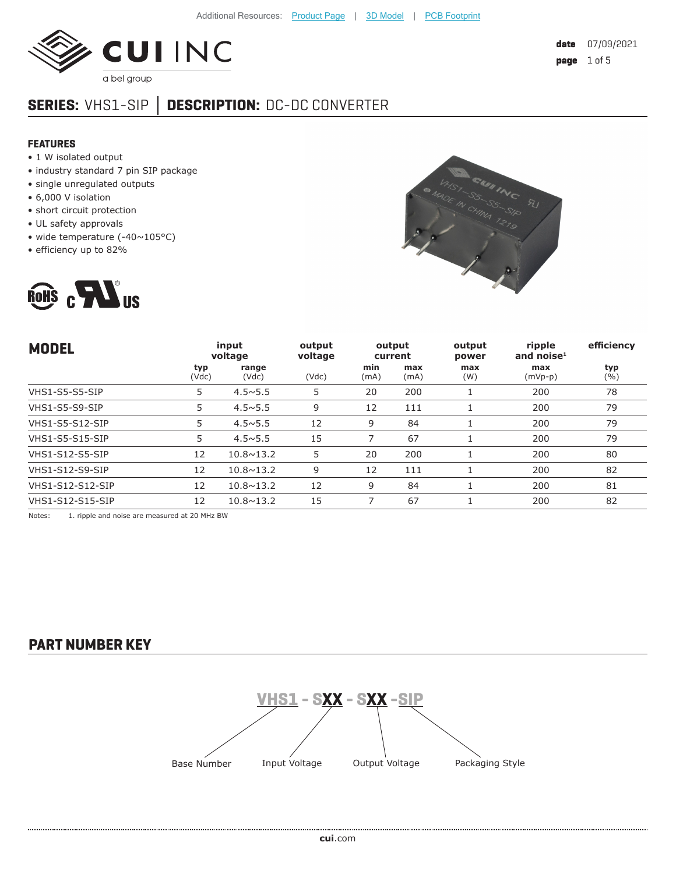

# **SERIES:** VHS1-SIP **│ DESCRIPTION:** DC-DC CONVERTER

### **FEATURES**

- 1 W isolated output
- industry standard 7 pin SIP package
- single unregulated outputs
- 6,000 V isolation
- short circuit protection
- UL safety approvals
- wide temperature (-40~105°C)
- efficiency up to 82%





| <b>MODEL</b>           | input<br>voltage |                    | output<br>voltage | output<br>current |             | output<br>power | ripple<br>and noise $1$ | efficiency |
|------------------------|------------------|--------------------|-------------------|-------------------|-------------|-----------------|-------------------------|------------|
|                        | typ<br>(Vdc)     | range<br>(Vdc)     | (Vdc)             | min<br>(mA)       | max<br>(mA) | max<br>(W)      | max<br>$(mVp-p)$        | typ<br>(%) |
| VHS1-S5-S5-SIP         | 5                | $4.5 \times 5.5$   | 5                 | 20                | 200         |                 | 200                     | 78         |
| VHS1-S5-S9-SIP         | 5                | $4.5 \times 5.5$   | 9                 | 12                | 111         |                 | 200                     | 79         |
| <b>VHS1-S5-S12-SIP</b> | 5                | $4.5 \times 5.5$   | 12                | 9                 | 84          |                 | 200                     | 79         |
| <b>VHS1-S5-S15-SIP</b> | 5                | $4.5 \times 5.5$   | 15                |                   | 67          |                 | 200                     | 79         |
| <b>VHS1-S12-S5-SIP</b> | 12               | $10.8 \times 13.2$ | 5                 | 20                | 200         |                 | 200                     | 80         |
| <b>VHS1-S12-S9-SIP</b> | 12               | $10.8 \times 13.2$ | 9                 | 12                | 111         |                 | 200                     | 82         |
| VHS1-S12-S12-SIP       | 12               | $10.8 \times 13.2$ | 12                | 9                 | 84          |                 | 200                     | 81         |
| VHS1-S12-S15-SIP       | 12               | $10.8 \times 13.2$ | 15                |                   | 67          |                 | 200                     | 82         |

Notes: 1. ripple and noise are measured at 20 MHz BW

**PART NUMBER KEY**

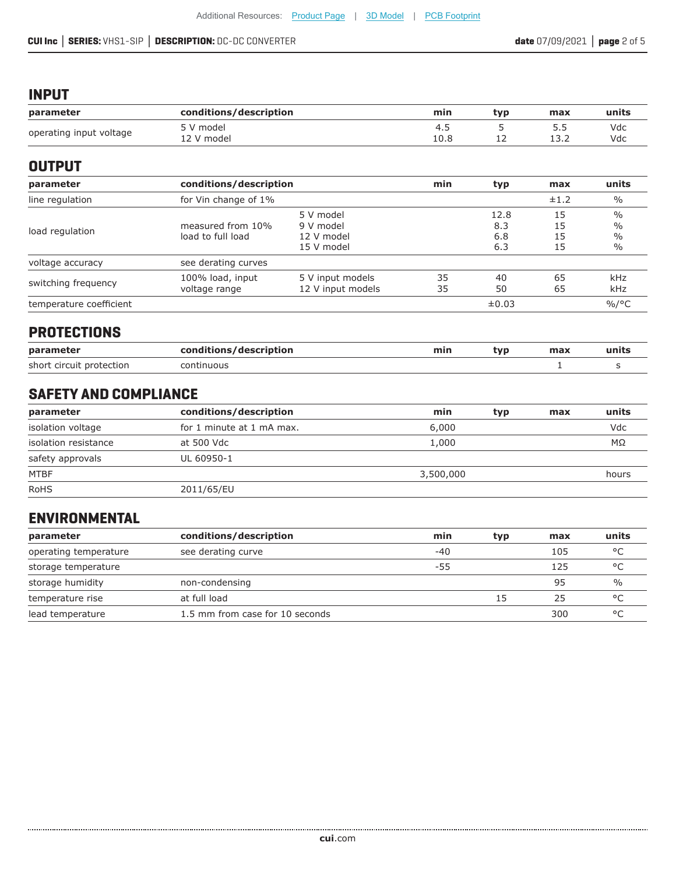### **INPUT**

| parameter               | conditions/description  | min         | tvp | max                    | units      |
|-------------------------|-------------------------|-------------|-----|------------------------|------------|
| operating input voltage | 5 V model<br>12 V model | 4.J<br>10.8 | ∸∸  | 5.5<br>ר כו<br>1 J . 4 | Vdc<br>Vdc |

## **OUTPUT**

| parameter                                                | conditions/description                 | min                                                | typ      | max                       | units                |                                                |
|----------------------------------------------------------|----------------------------------------|----------------------------------------------------|----------|---------------------------|----------------------|------------------------------------------------|
| line regulation                                          | for Vin change of 1%                   |                                                    |          | ±1.2                      | $\frac{0}{0}$        |                                                |
| load regulation                                          | measured from 10%<br>load to full load | 5 V model<br>9 V model<br>12 V model<br>15 V model |          | 12.8<br>8.3<br>6.8<br>6.3 | 15<br>15<br>15<br>15 | $\frac{0}{0}$<br>$\frac{0}{0}$<br>$\%$<br>$\%$ |
| voltage accuracy                                         | see derating curves                    |                                                    |          |                           |                      |                                                |
| 100% load, input<br>switching frequency<br>voltage range |                                        | 5 V input models<br>12 V input models              | 35<br>35 | 40<br>50                  | 65<br>65             | kHz<br>kHz                                     |
| temperature coefficient                                  |                                        |                                                    |          | ±0.03                     |                      | $\%$ /°C                                       |

## **PROTECTIONS**

| conditions/description<br>parameter |            | min | tvp | max | units |
|-------------------------------------|------------|-----|-----|-----|-------|
| short circuit protection            | continuous |     |     |     |       |

## **SAFETY AND COMPLIANCE**

| parameter            | conditions/description    | min       | typ | max | units     |
|----------------------|---------------------------|-----------|-----|-----|-----------|
| isolation voltage    | for 1 minute at 1 mA max. | 6,000     |     |     | Vdc       |
| isolation resistance | at 500 Vdc                | 1,000     |     |     | $M\Omega$ |
| safety approvals     | UL 60950-1                |           |     |     |           |
| <b>MTBF</b>          |                           | 3,500,000 |     |     | hours     |
| <b>RoHS</b>          | 2011/65/EU                |           |     |     |           |

## **ENVIRONMENTAL**

| parameter             | conditions/description          | min | typ. | max | units        |
|-----------------------|---------------------------------|-----|------|-----|--------------|
| operating temperature | see derating curve              | -40 |      | 105 | °C           |
| storage temperature   |                                 | -55 |      | 125 | °C           |
| storage humidity      | non-condensing                  |     |      | 95  | $\%$         |
| temperature rise      | at full load                    |     | 15   | 25  | $^{\circ}$ C |
| lead temperature      | 1.5 mm from case for 10 seconds |     |      | 300 | $\circ$      |

......................................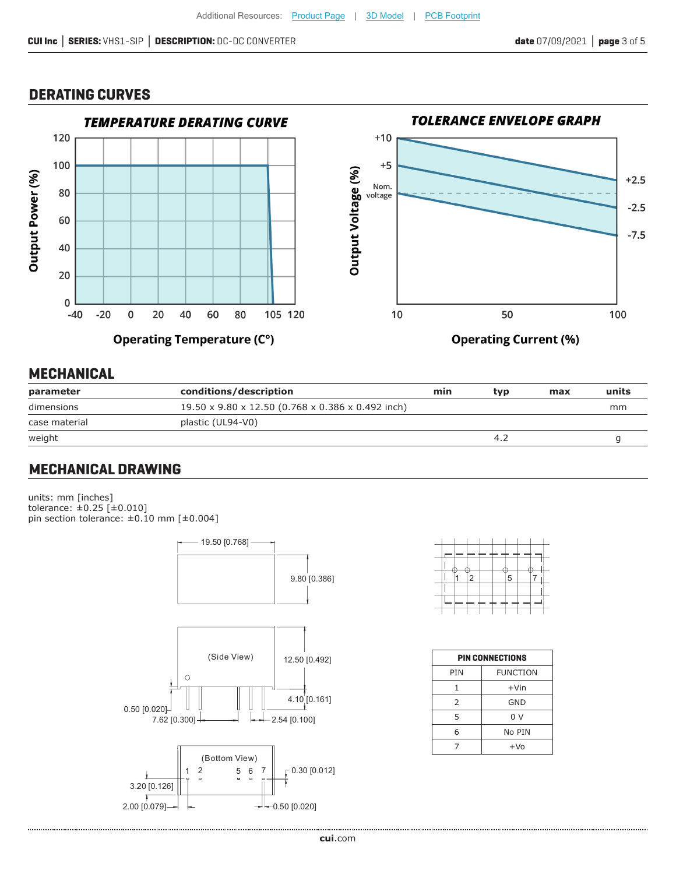### **DERATING CURVES**



## **MECHANICAL**

| parameter     | conditions/description                            | min | tvp | max | units |
|---------------|---------------------------------------------------|-----|-----|-----|-------|
| dimensions    | 19.50 x 9.80 x 12.50 (0.768 x 0.386 x 0.492 inch) |     |     |     | mm    |
| case material | plastic (UL94-V0)                                 |     |     |     |       |
| weight        |                                                   |     |     |     |       |

## **MECHANICAL DRAWING**

units: mm [inches] tolerance: ±0.25 [±0.010] pin section tolerance: ±0.10 mm [±0.004]



|  | 2 |  | 5 |  |  |
|--|---|--|---|--|--|
|  |   |  |   |  |  |
|  |   |  |   |  |  |
|  |   |  |   |  |  |

| <b>PIN CONNECTIONS</b> |                 |  |  |  |  |  |
|------------------------|-----------------|--|--|--|--|--|
| PIN                    | <b>FUNCTION</b> |  |  |  |  |  |
| 1                      | $+V$ in         |  |  |  |  |  |
| 2                      | GND             |  |  |  |  |  |
| 5                      | 0 <sup>0</sup>  |  |  |  |  |  |
| 6                      | No PIN          |  |  |  |  |  |
|                        | $+VO$           |  |  |  |  |  |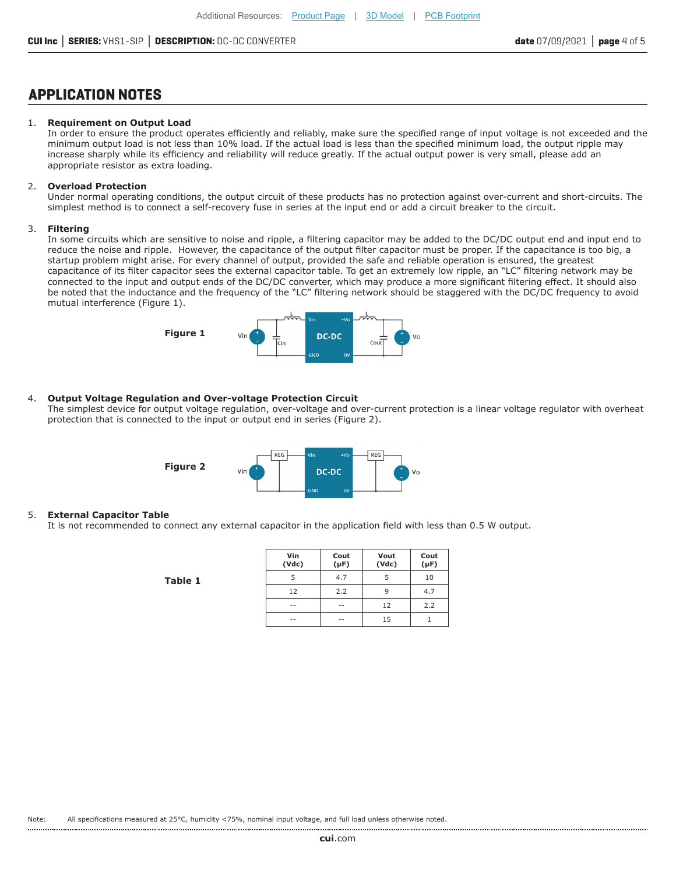### **APPLICATION NOTES**

#### 1. **Requirement on Output Load**

In order to ensure the product operates efficiently and reliably, make sure the specified range of input voltage is not exceeded and the minimum output load is not less than 10% load. If the actual load is less than the specified minimum load, the output ripple may increase sharply while its efficiency and reliability will reduce greatly. If the actual output power is very small, please add an appropriate resistor as extra loading.

#### 2. **Overload Protection**

Under normal operating conditions, the output circuit of these products has no protection against over-current and short-circuits. The simplest method is to connect a self-recovery fuse in series at the input end or add a circuit breaker to the circuit.

#### 3. **Filtering**

In some circuits which are sensitive to noise and ripple, a filtering capacitor may be added to the DC/DC output end and input end to reduce the noise and ripple. However, the capacitance of the output filter capacitor must be proper. If the capacitance is too big, a startup problem might arise. For every channel of output, provided the safe and reliable operation is ensured, the greatest capacitance of its filter capacitor sees the external capacitor table. To get an extremely low ripple, an "LC" filtering network may be connected to the input and output ends of the DC/DC converter, which may produce a more significant filtering effect. It should also be noted that the inductance and the frequency of the "LC" filtering network should be staggered with the DC/DC frequency to avoid mutual interference (Figure 1).



#### 4. **Output Voltage Regulation and Over-voltage Protection Circuit**

The simplest device for output voltage regulation, over-voltage and over-current protection is a linear voltage regulator with overheat protection that is connected to the input or output end in series (Figure 2).



#### 5. **External Capacitor Table**

It is not recommended to connect any external capacitor in the application field with less than 0.5 W output.

**Table 1**

| Vin<br>(Vdc) | Cout<br>$(\mu F)$ | Vout<br>(Vdc) | Cout<br>$(\mu F)$ |
|--------------|-------------------|---------------|-------------------|
|              | 4.7               |               | 10                |
| 12           | 2.2               | 9             | 4.7               |
| --           | --                | 12            | 2.2               |
| --           | --                | 15            |                   |